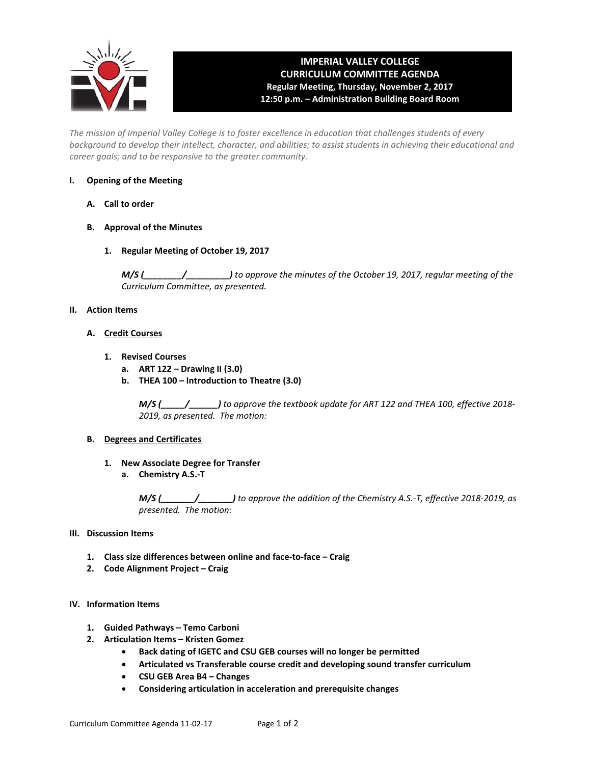

## **IMPERIAL VALLEY COLLEGE CURRICULUM COMMITTEE AGENDA Regular Meeting, Thursday, November 2, 2017 12:50 p.m. – Administration Building Board Room**

*The mission of Imperial Valley College is to foster excellence in education that challenges students of every background to develop their intellect, character, and abilities; to assist students in achieving their educational and career goals; and to be responsive to the greater community.*

## **I. Opening of the Meeting**

- **A. Call to order**
- **B. Approval of the Minutes**
	- **1. Regular Meeting of October 19, 2017**

*M/S (\_\_\_\_\_\_\_\_/\_\_\_\_\_\_\_\_\_) to approve the minutes of the October 19, 2017, regular meeting of the Curriculum Committee, as presented.* 

## **II. Action Items**

- **A. Credit Courses**
	- **1. Revised Courses**
		- **a. ART 122 – Drawing II (3.0)**
		- **b. THEA 100 – Introduction to Theatre (3.0)**

*M/S (\_\_\_\_\_/\_\_\_\_\_\_) to approve the textbook update for ART 122 and THEA 100, effective 2018- 2019, as presented. The motion:*

#### **B. Degrees and Certificates**

- **1. New Associate Degree for Transfer**
	- **a. Chemistry A.S.-T**

*M/S (\_\_\_\_\_\_\_/\_\_\_\_\_\_\_) to approve the addition of the Chemistry A.S.-T, effective 2018-2019, as presented. The motion:*

## **III. Discussion Items**

- **1. Class size differences between online and face-to-face – Craig**
- **2. Code Alignment Project – Craig**

## **IV. Information Items**

- **1. Guided Pathways – Temo Carboni**
- **2. Articulation Items – Kristen Gomez**
	- **Back dating of IGETC and CSU GEB courses will no longer be permitted**
	- **Articulated vs Transferable course credit and developing sound transfer curriculum**
	- **CSU GEB Area B4 – Changes**
	- **Considering articulation in acceleration and prerequisite changes**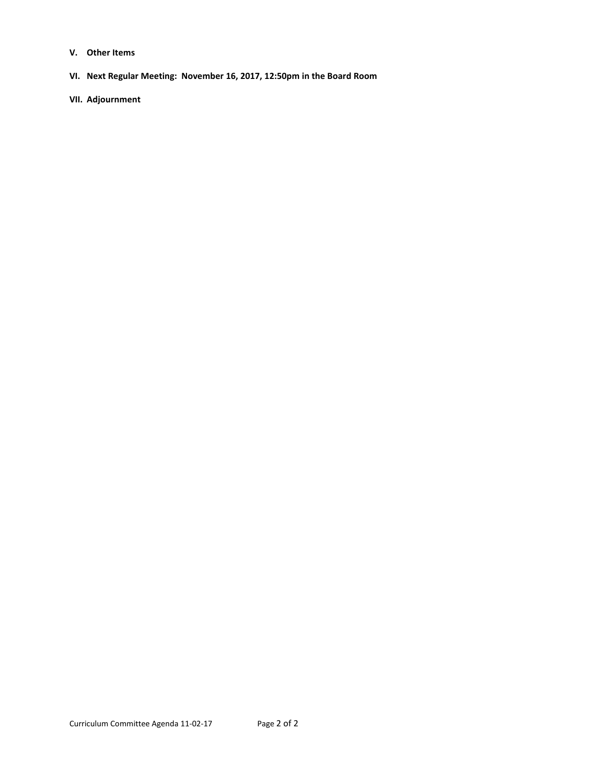- **V. Other Items**
- **VI. Next Regular Meeting: November 16, 2017, 12:50pm in the Board Room**
- **VII. Adjournment**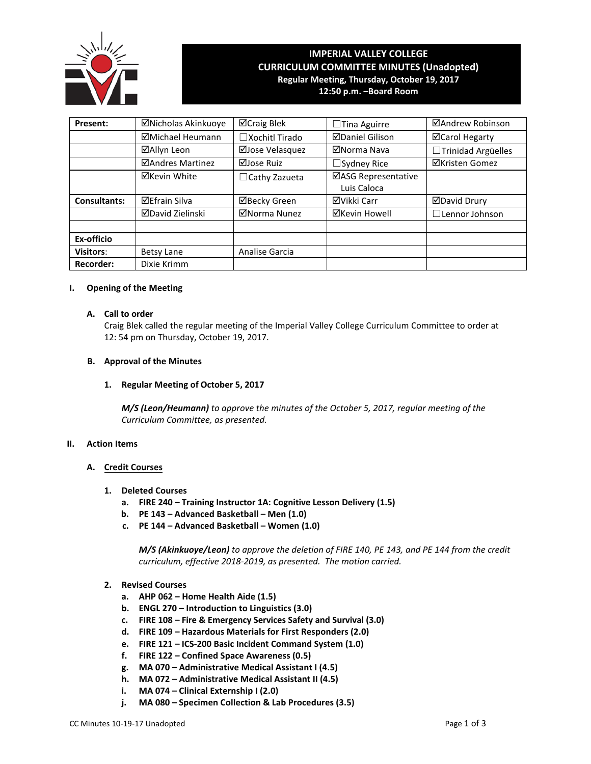

# **IMPERIAL VALLEY COLLEGE CURRICULUM COMMITTEE MINUTES (Unadopted) Regular Meeting, Thursday, October 19, 2017**

**12:50 p.m. –Board Room**

| Present:            | ⊠Nicholas Akinkuoye     | ⊠Craig Blek              | $\Box$ Tina Aguirre                | ⊠Andrew Robinson      |  |  |
|---------------------|-------------------------|--------------------------|------------------------------------|-----------------------|--|--|
|                     | ⊠Michael Heumann        | $\square$ Xochitl Tirado | <b>⊠Daniel Gilison</b>             | ⊠Carol Hegarty        |  |  |
|                     | ⊠Allyn Leon             | ⊠Jose Velasquez          | ⊠Norma Nava                        | □Trinidad Argüelles   |  |  |
|                     | <b>ØAndres Martinez</b> | ⊠Jose Ruiz               | $\Box$ Sydney Rice                 | <b>⊠Kristen Gomez</b> |  |  |
|                     | <b>⊠Kevin White</b>     | $\Box$ Cathy Zazueta     | ⊠ASG Representative<br>Luis Caloca |                       |  |  |
| <b>Consultants:</b> | <b>⊠Efrain Silva</b>    | <b>⊠Becky Green</b>      | <b>⊠Vikki Carr</b>                 | <b>ØDavid Drury</b>   |  |  |
|                     | ⊠David Zielinski        | ⊠Norma Nunez             | <b>⊠Kevin Howell</b>               | $\Box$ Lennor Johnson |  |  |
| Ex-officio          |                         |                          |                                    |                       |  |  |
| <b>Visitors:</b>    | Betsy Lane              | Analise Garcia           |                                    |                       |  |  |
| <b>Recorder:</b>    | Dixie Krimm             |                          |                                    |                       |  |  |

#### **I. Opening of the Meeting**

#### **A. Call to order**

Craig Blek called the regular meeting of the Imperial Valley College Curriculum Committee to order at 12: 54 pm on Thursday, October 19, 2017.

#### **B. Approval of the Minutes**

#### **1. Regular Meeting of October 5, 2017**

*M/S (Leon/Heumann) to approve the minutes of the October 5, 2017, regular meeting of the Curriculum Committee, as presented.*

#### **II. Action Items**

## **A. Credit Courses**

- **1. Deleted Courses**
	- **a. FIRE 240 Training Instructor 1A: Cognitive Lesson Delivery (1.5)**
	- **b. PE 143 Advanced Basketball Men (1.0)**
	- **c. PE 144 Advanced Basketball Women (1.0)**

*M/S (Akinkuoye/Leon) to approve the deletion of FIRE 140, PE 143, and PE 144 from the credit curriculum, effective 2018-2019, as presented. The motion carried.*

- **2. Revised Courses**
	- **a. AHP 062 Home Health Aide (1.5)**
	- **b. ENGL 270 Introduction to Linguistics (3.0)**
	- **c. FIRE 108 Fire & Emergency Services Safety and Survival (3.0)**
	- **d. FIRE 109 Hazardous Materials for First Responders (2.0)**
	- **e. FIRE 121 ICS-200 Basic Incident Command System (1.0)**
	- **f. FIRE 122 Confined Space Awareness (0.5)**
	- **g. MA 070 Administrative Medical Assistant I (4.5)**
	- **h. MA 072 Administrative Medical Assistant II (4.5)**
	- **i. MA 074 Clinical Externship I (2.0)**
	- **j. MA 080 Specimen Collection & Lab Procedures (3.5)**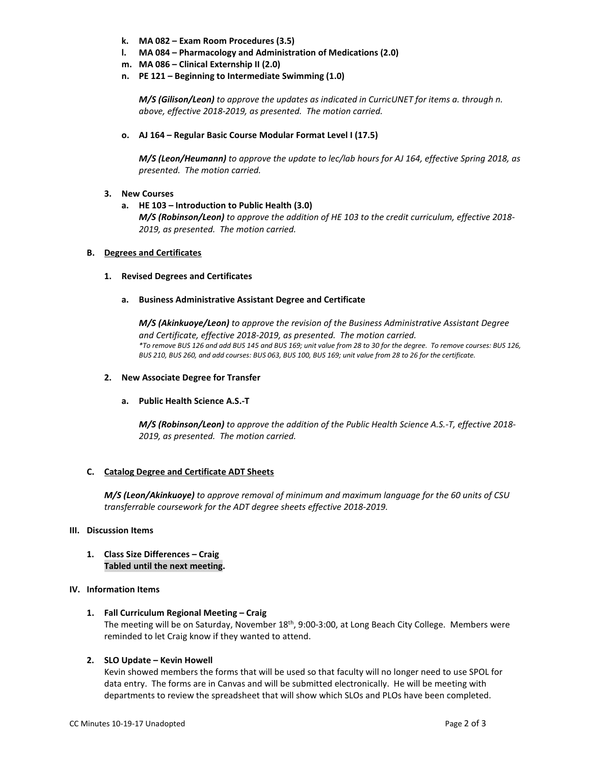- **k. MA 082 – Exam Room Procedures (3.5)**
- **l. MA 084 – Pharmacology and Administration of Medications (2.0)**
- **m. MA 086 – Clinical Externship II (2.0)**
- **n. PE 121 – Beginning to Intermediate Swimming (1.0)**

*M/S (Gilison/Leon) to approve the updates as indicated in CurricUNET for items a. through n. above, effective 2018-2019, as presented. The motion carried.*

**o. AJ 164 – Regular Basic Course Modular Format Level I (17.5)**

*M/S (Leon/Heumann) to approve the update to lec/lab hours for AJ 164, effective Spring 2018, as presented. The motion carried.*

#### **3. New Courses**

**a. HE 103 – Introduction to Public Health (3.0)** *M/S (Robinson/Leon) to approve the addition of HE 103 to the credit curriculum, effective 2018- 2019, as presented. The motion carried.*

#### **B. Degrees and Certificates**

#### **1. Revised Degrees and Certificates**

**a. Business Administrative Assistant Degree and Certificate**

*M/S (Akinkuoye/Leon) to approve the revision of the Business Administrative Assistant Degree and Certificate, effective 2018-2019, as presented. The motion carried. \*To remove BUS 126 and add BUS 145 and BUS 169; unit value from 28 to 30 for the degree. To remove courses: BUS 126, BUS 210, BUS 260, and add courses: BUS 063, BUS 100, BUS 169; unit value from 28 to 26 for the certificate.*

#### **2. New Associate Degree for Transfer**

#### **a. Public Health Science A.S.-T**

*M/S (Robinson/Leon) to approve the addition of the Public Health Science A.S.-T, effective 2018- 2019, as presented. The motion carried.*

## **C. Catalog Degree and Certificate ADT Sheets**

*M/S (Leon/Akinkuoye) to approve removal of minimum and maximum language for the 60 units of CSU transferrable coursework for the ADT degree sheets effective 2018-2019.*

#### **III. Discussion Items**

**1. Class Size Differences – Craig Tabled until the next meeting.**

## **IV. Information Items**

**1. Fall Curriculum Regional Meeting – Craig**

The meeting will be on Saturday, November 18<sup>th</sup>, 9:00-3:00, at Long Beach City College. Members were reminded to let Craig know if they wanted to attend.

#### **2. SLO Update – Kevin Howell**

Kevin showed members the forms that will be used so that faculty will no longer need to use SPOL for data entry. The forms are in Canvas and will be submitted electronically. He will be meeting with departments to review the spreadsheet that will show which SLOs and PLOs have been completed.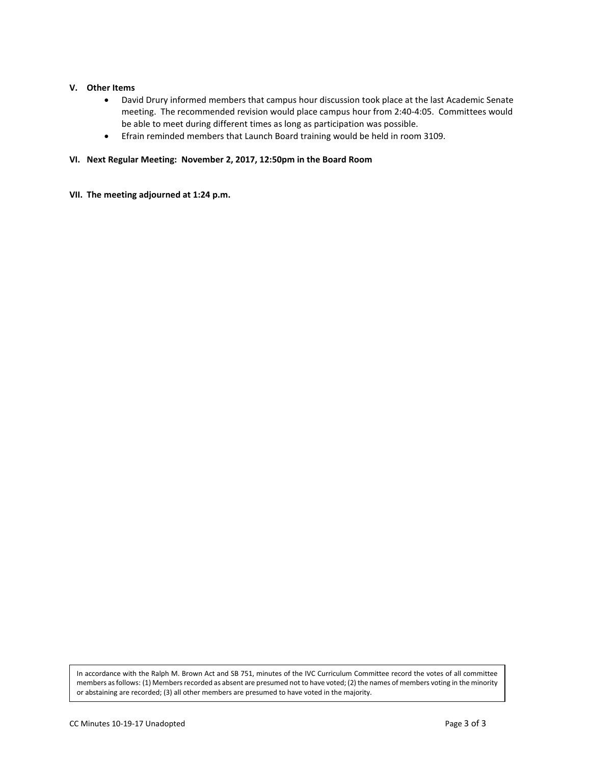#### **V. Other Items**

- David Drury informed members that campus hour discussion took place at the last Academic Senate meeting. The recommended revision would place campus hour from 2:40-4:05. Committees would be able to meet during different times as long as participation was possible.
- Efrain reminded members that Launch Board training would be held in room 3109.

#### **VI. Next Regular Meeting: November 2, 2017, 12:50pm in the Board Room**

**VII. The meeting adjourned at 1:24 p.m.**

In accordance with the Ralph M. Brown Act and SB 751, minutes of the IVC Curriculum Committee record the votes of all committee members as follows: (1) Members recorded as absent are presumed not to have voted; (2) the names of members voting in the minority or abstaining are recorded; (3) all other members are presumed to have voted in the majority.